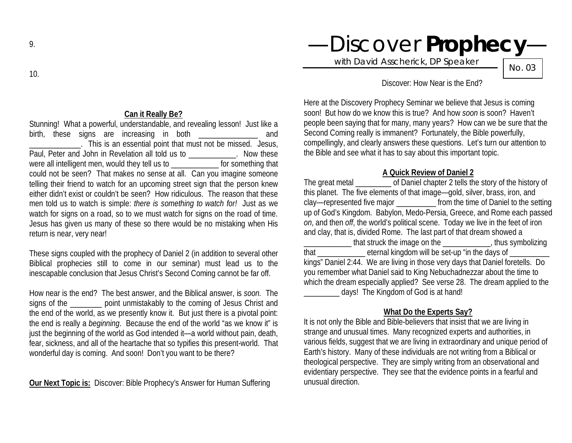Stunning! What a powerful, understandable, and revealing lesson! Just like a birth, these signs are increasing in both **Example 20** and \_\_\_\_\_\_\_\_\_\_\_\_\_. This is an essential point that must not be missed. Jesus, Paul, Peter and John in Revelation all told us to \_\_\_\_\_\_\_\_\_\_\_. Now these were all intelligent men, would they tell us to \_\_\_\_\_\_\_\_\_\_\_\_\_\_ for something that could not be seen? That makes no sense at all. Can you imagine someone telling their friend to watch for an upcoming street sign that the person knew either didn't exist or couldn't be seen? How ridiculous. The reason that these men told us to watch is simple: *there is something to watch for!* Just as we watch for signs on a road, so to we must watch for signs on the road of time. Jesus has given us many of these so there would be no mistaking when His return is near, very near!

These signs coupled with the prophecy of Daniel 2 (in addition to several other Biblical prophecies still to come in our seminar) must lead us to the inescapable conclusion that Jesus Christ's Second Coming cannot be far off.

How near is the end? The best answer, and the Biblical answer, is *soon.* The signs of the **point unmistakably to the coming of Jesus Christ and** the end of the world, as we presently know it. But just there is a pivotal point: the end is really a *beginning*. Because the end of the world "as we know it" is just the beginning of the world as God intended it—a world without pain, death, fear, sickness, and all of the heartache that so typifies this present-world. That wonderful day is coming. And soon! Don't you want to be there?

**Our Next Topic is:** Discover: Bible Prophecy's Answer for Human Suffering

# —Discover **Prophecy**—

with David Asscherick, DP Speaker

No. 03

#### Discover: How Near is the End?

Here at the Discovery Prophecy Seminar we believe that Jesus is coming soon! But how do we know this is true? And how *soon* is soon? Haven't people been saying that for many, many years? How can we be sure that the Second Coming really is immanent? Fortunately, the Bible powerfully, compellingly, and clearly answers these questions. Let's turn our attention to the Bible and see what it has to say about this important topic.

#### **A Quick Review of Daniel 2**

The great metal \_\_\_\_\_\_\_\_\_ of Daniel chapter 2 tells the story of the history of this planet. The five elements of that image—gold, silver, brass, iron, and clay—represented five major \_\_\_\_\_\_\_\_\_\_ from the time of Daniel to the setting up of God's Kingdom. Babylon, Medo-Persia, Greece, and Rome each passed *on*, and then *off*, the world's political scene. Today we live in the feet of iron and clay, that is, divided Rome. The last part of that dream showed a \_\_\_\_\_\_\_\_\_\_\_\_ that struck the image on the \_\_\_\_\_\_\_\_\_\_\_\_, thus symbolizing that the eternal kingdom will be set-up "in the days of  $\overline{\phantom{a}}$ kings" Daniel 2:44. We are living in those very days that Daniel foretells. Do you remember what Daniel said to King Nebuchadnezzar about the time to which the dream especially applied? See verse 28. The dream applied to the days! The Kingdom of God is at hand!

### **What Do the Experts Say?**

It is not only the Bible and Bible-believers that insist that we are living in strange and unusual times. Many recognized experts and authorities, in various fields, suggest that we are living in extraordinary and unique period of Earth's history. Many of these individuals are not writing from a Biblical or theological perspective. They are simply writing from an observational and evidentiary perspective. They see that the evidence points in a fearful and unusual direction.

10.